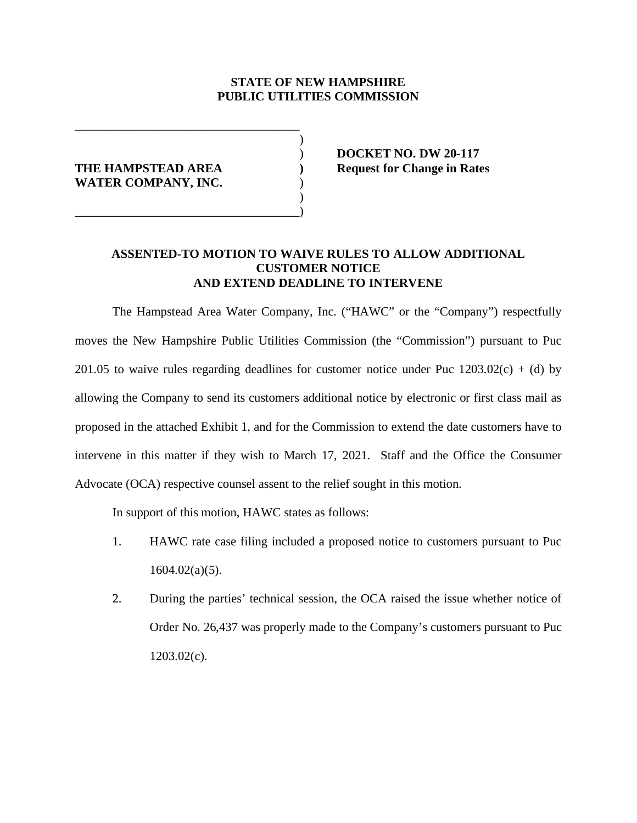## **STATE OF NEW HAMPSHIRE PUBLIC UTILITIES COMMISSION**

 $\overline{\phantom{a}}$ 

 $\overline{\phantom{a}}$ 

WATER COMPANY, INC.

\_\_\_\_\_\_\_\_\_\_\_\_\_\_\_\_\_\_\_\_\_\_\_\_\_\_\_\_\_\_\_\_\_\_\_\_

\_\_\_\_\_\_\_\_\_\_\_\_\_\_\_\_\_\_\_\_\_\_\_\_\_\_\_\_\_\_\_\_\_\_\_\_)

 ) **DOCKET NO. DW 20-117 THE HAMPSTEAD AREA ) Request for Change in Rates**

## **ASSENTED-TO MOTION TO WAIVE RULES TO ALLOW ADDITIONAL CUSTOMER NOTICE AND EXTEND DEADLINE TO INTERVENE**

The Hampstead Area Water Company, Inc. ("HAWC" or the "Company") respectfully moves the New Hampshire Public Utilities Commission (the "Commission") pursuant to Puc 201.05 to waive rules regarding deadlines for customer notice under Puc  $1203.02(c) + (d)$  by allowing the Company to send its customers additional notice by electronic or first class mail as proposed in the attached Exhibit 1, and for the Commission to extend the date customers have to intervene in this matter if they wish to March 17, 2021. Staff and the Office the Consumer Advocate (OCA) respective counsel assent to the relief sought in this motion.

In support of this motion, HAWC states as follows:

- 1. HAWC rate case filing included a proposed notice to customers pursuant to Puc 1604.02(a)(5).
- 2. During the parties' technical session, the OCA raised the issue whether notice of Order No. 26,437 was properly made to the Company's customers pursuant to Puc  $1203.02(c)$ .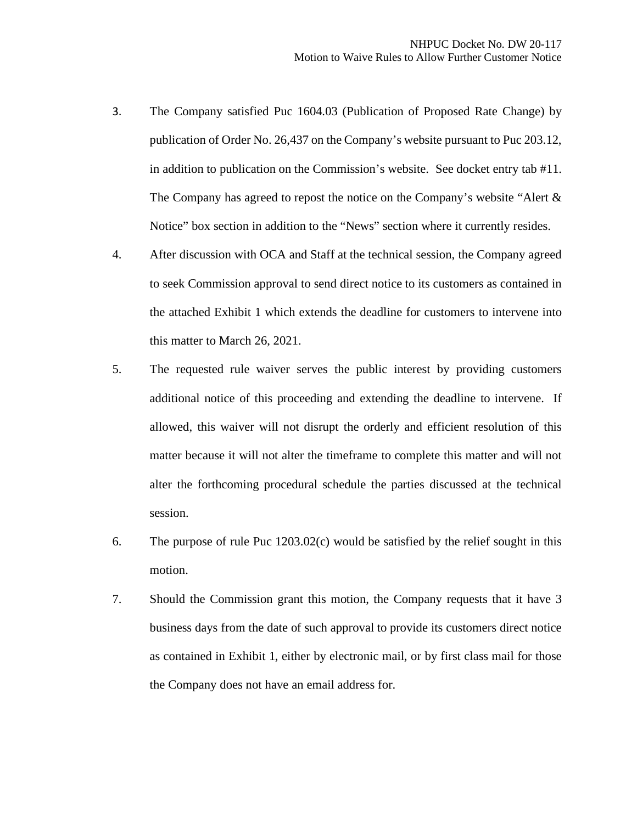- 3. The Company satisfied Puc 1604.03 (Publication of Proposed Rate Change) by publication of Order No. 26,437 on the Company's website pursuant to Puc 203.12, in addition to publication on the Commission's website. See docket entry tab #11. The Company has agreed to repost the notice on the Company's website "Alert & Notice" box section in addition to the "News" section where it currently resides.
- 4. After discussion with OCA and Staff at the technical session, the Company agreed to seek Commission approval to send direct notice to its customers as contained in the attached Exhibit 1 which extends the deadline for customers to intervene into this matter to March 26, 2021.
- 5. The requested rule waiver serves the public interest by providing customers additional notice of this proceeding and extending the deadline to intervene. If allowed, this waiver will not disrupt the orderly and efficient resolution of this matter because it will not alter the timeframe to complete this matter and will not alter the forthcoming procedural schedule the parties discussed at the technical session.
- 6. The purpose of rule Puc 1203.02(c) would be satisfied by the relief sought in this motion.
- 7. Should the Commission grant this motion, the Company requests that it have 3 business days from the date of such approval to provide its customers direct notice as contained in Exhibit 1, either by electronic mail, or by first class mail for those the Company does not have an email address for.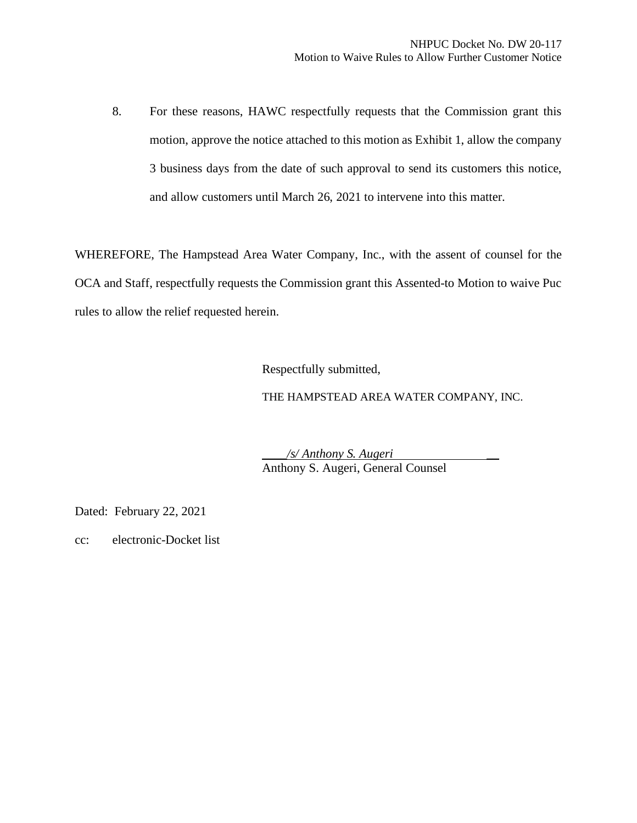8. For these reasons, HAWC respectfully requests that the Commission grant this motion, approve the notice attached to this motion as Exhibit 1, allow the company 3 business days from the date of such approval to send its customers this notice, and allow customers until March 26, 2021 to intervene into this matter.

WHEREFORE, The Hampstead Area Water Company, Inc., with the assent of counsel for the OCA and Staff, respectfully requests the Commission grant this Assented-to Motion to waive Puc rules to allow the relief requested herein.

Respectfully submitted,

THE HAMPSTEAD AREA WATER COMPANY, INC.

\_\_\_\_*/s/ Anthony S. Augeri* \_\_ Anthony S. Augeri, General Counsel

Dated: February 22, 2021

cc: electronic-Docket list